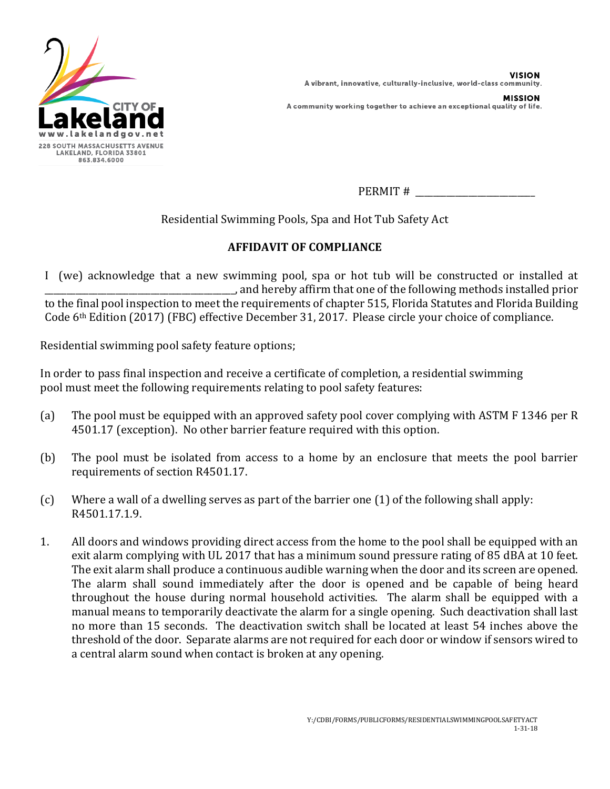

**VISION** A vibrant, innovative, culturally-inclusive, world-class community. **MISSION** 

A community working together to achieve an exceptional quality of life.

PERMIT #

Residential Swimming Pools, Spa and Hot Tub Safety Act

## **AFFIDAVIT OF COMPLIANCE**

I (we) acknowledge that a new swimming pool, spa or hot tub will be constructed or installed at \_\_\_\_\_\_\_\_\_\_\_\_\_\_\_\_\_\_\_\_\_\_\_\_\_\_\_\_\_\_\_\_\_\_\_\_\_\_\_\_\_\_\_, and hereby affirm that one of the following methods installed prior to the final pool inspection to meet the requirements of chapter 515, Florida Statutes and Florida Building Code 6th Edition (2017) (FBC) effective December 31, 2017. Please circle your choice of compliance.

Residential swimming pool safety feature options;

In order to pass final inspection and receive a certificate of completion, a residential swimming pool must meet the following requirements relating to pool safety features:

- (a) The pool must be equipped with an approved safety pool cover complying with ASTM F 1346 per R 4501.17 (exception). No other barrier feature required with this option.
- (b) The pool must be isolated from access to a home by an enclosure that meets the pool barrier requirements of section R4501.17.
- (c) Where a wall of a dwelling serves as part of the barrier one (1) of the following shall apply: R4501.17.1.9.
- 1. All doors and windows providing direct access from the home to the pool shall be equipped with an exit alarm complying with UL 2017 that has a minimum sound pressure rating of 85 dBA at 10 feet. The exit alarm shall produce a continuous audible warning when the door and its screen are opened. The alarm shall sound immediately after the door is opened and be capable of being heard throughout the house during normal household activities. The alarm shall be equipped with a manual means to temporarily deactivate the alarm for a single opening. Such deactivation shall last no more than 15 seconds. The deactivation switch shall be located at least 54 inches above the threshold of the door. Separate alarms are not required for each door or window if sensors wired to a central alarm sound when contact is broken at any opening.